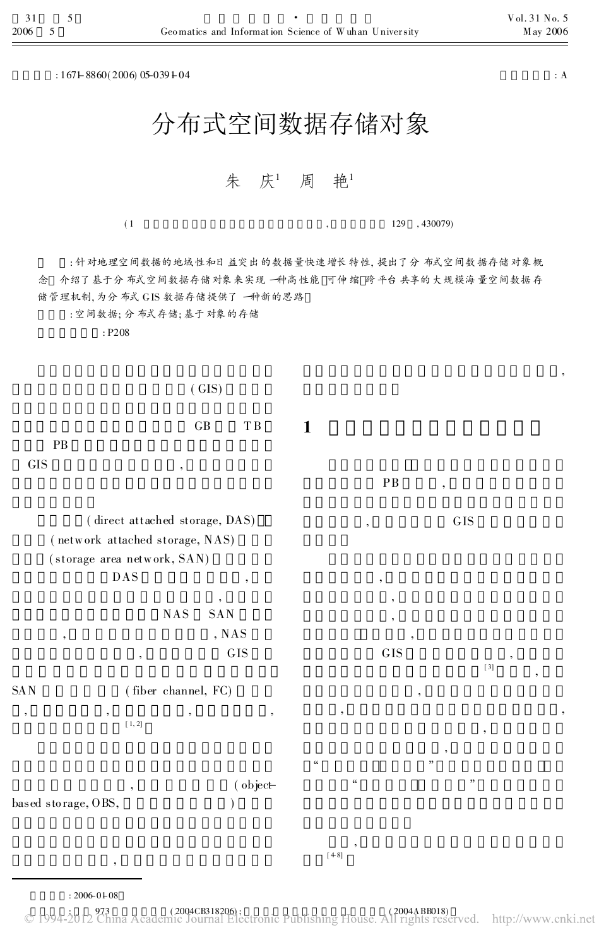$: 167 + 8860(2006)05 - 039 + 04$  : A

分布式空间数据存储对象

# 朱 庆<sup>1</sup> 周 艳1

 $(1, 129, 430079)$ 

: 针对地理空间数据的地域性和日益突出的数据量快速增长特性, 提出了分布式空间数据存储对象概 念 介绍了基于分布式空间数据存储对象来实现一种高性能 可伸缩 跨平台共享的大规模海量空间数据存 储管理机制, 为分布式 GIS 数据存储提供了一种新的思路

1

: 空间数据; 分布式存储; 基于对象的存储

: P208

( GIS)

GB T B

PB GIS

( direct attached storage, DAS) ( netw ork attached storage, NAS) ( storage area netw ork, SAN) **DAS** , NAS SAN , , NAS , GIS SAN (fiber channel, FC) , , , ,  $[ 1, 2]$ , ( objectbased storage, OBS, P<sub>B</sub> , GIS , , , , GIS [ 3] , , , , ,  $\alpha$  , and the contract of  $\alpha$  $\frac{1}{2}$  ,  $\frac{1}{2}$  ,  $\frac{1}{2}$  ,  $\frac{1}{2}$  ,  $\frac{1}{2}$  ,  $\frac{1}{2}$  ,  $\frac{1}{2}$  ,  $\frac{1}{2}$  ,  $\frac{1}{2}$  ,  $\frac{1}{2}$  ,  $\frac{1}{2}$  ,  $\frac{1}{2}$  ,  $\frac{1}{2}$  ,  $\frac{1}{2}$  ,  $\frac{1}{2}$  ,  $\frac{1}{2}$  ,  $\frac{1}{2}$  ,  $\frac{1}{2}$  ,  $\frac{1$ , [ 4-8]

: 2006-01-08

,

© 1994-2012 China Academic Journal Electronic Publishing House. All rights reserved. http://www.cnki.net

,

,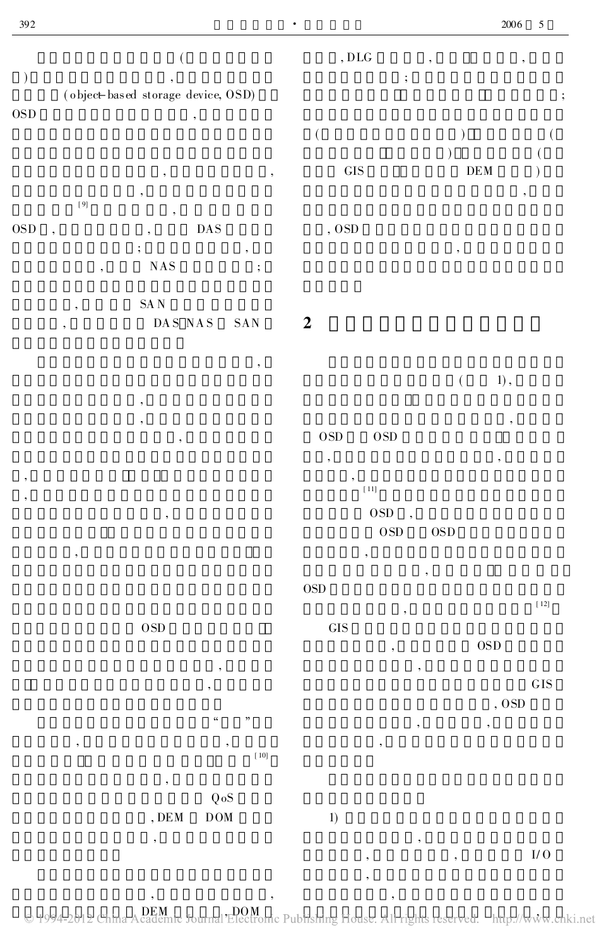

DEM DOM DOM DOM CHARLES All rights reserved http://www

,

,

, ,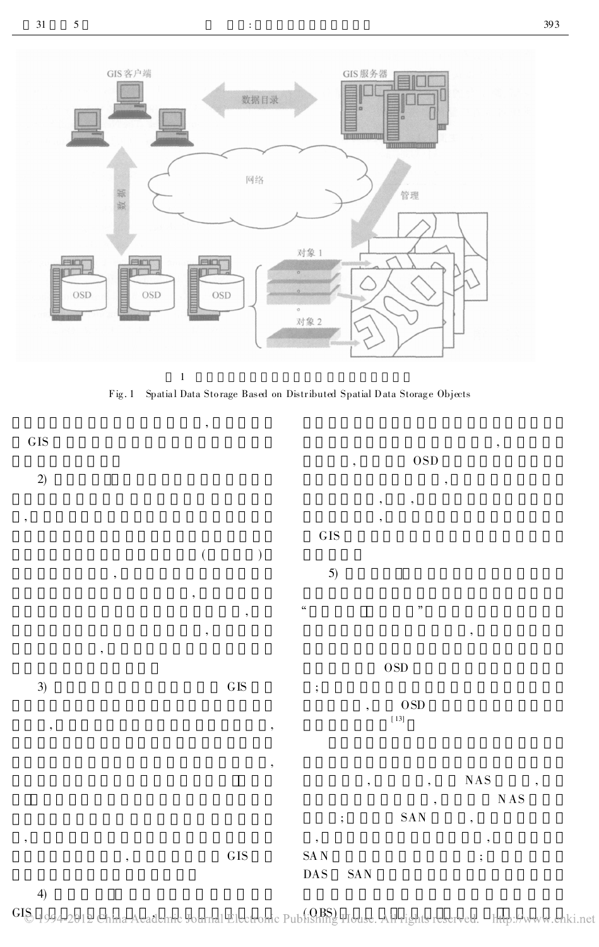

 $\colon$ 





GIS 1994-2012 China Academic Journal Electronic Publishing House. All rights reserved. http://www.cnki.net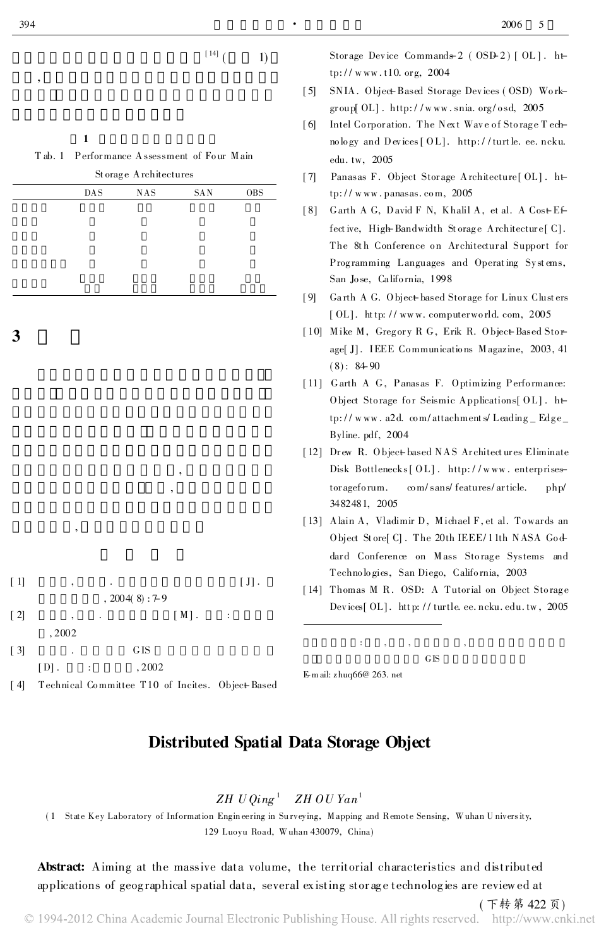## $[14]$

 $1)$ 

|                        | $\mathbf{1}$                               |                   |                      |            |  |  |  |
|------------------------|--------------------------------------------|-------------------|----------------------|------------|--|--|--|
|                        | Tab. 1 Performance Assessment of Four Main |                   |                      |            |  |  |  |
| St orage Architectures |                                            |                   |                      |            |  |  |  |
|                        | $\mathrm{DAS}$                             | $_{\mathrm{NAS}}$ | $\operatorname{SAN}$ | <b>OBS</b> |  |  |  |
|                        |                                            |                   |                      |            |  |  |  |
|                        |                                            |                   |                      |            |  |  |  |
|                        |                                            |                   |                      |            |  |  |  |
|                        |                                            |                   |                      |            |  |  |  |
|                        |                                            |                   |                      |            |  |  |  |
|                        |                                            |                   |                      |            |  |  |  |
|                        |                                            |                   |                      |            |  |  |  |
|                        |                                            |                   |                      |            |  |  |  |
|                        |                                            |                   |                      |            |  |  |  |
|                        |                                            |                   |                      |            |  |  |  |
|                        |                                            |                   |                      |            |  |  |  |
|                        |                                            |                   |                      |            |  |  |  |
|                        |                                            |                   |                      |            |  |  |  |
|                        |                                            |                   |                      |            |  |  |  |
|                        |                                            |                   |                      |            |  |  |  |
|                        |                                            |                   |                      |            |  |  |  |

| $\lceil 1 \rceil$ | ,       | ٠ |                  |                | $[J]$ . |
|-------------------|---------|---|------------------|----------------|---------|
|                   |         |   | $, 2004(8): 7-9$ |                |         |
| $[2]$             | ,       | ٠ | $[M]$ .          | $\ddot{\cdot}$ |         |
|                   | , 2002  |   |                  |                |         |
| $\lceil 3 \rceil$ | ٠       |   | GIS              |                |         |
|                   | $ D $ . | ÷ | , 2002           |                |         |

Technical Committee T10 of Incites. Object-Based  $\lceil 4 \rceil$ 

Storage Device Commands 2 (OSD-2) [OL]. ht $tp://www.t10. org. 2004$ 

- SNIA. Object-Based Storage Devices (OSD) Work- $\lceil 5 \rceil$ group[OL]. http://www.snia.org/osd, 2005
- Intel Corporation. The Next Wave of Storage Tech- $\lceil 6 \rceil$ nology and Devices [OL]. http://turtle.ee.ncku. edu. tw, 2005
- Panasas F. Object Storage Architecture[OL]. ht- $[7]$  $tp://www.panasas.com, 2005$
- [8] Garth A G, David F N, Khalil A, et al. A Cost-Effective, High-Bandwidth Storage Architecture [C]. The 8th Conference on Architectural Support for Programming Languages and Operating Systems, San Jose, California, 1998
- [9] Garth A G. Object-based Storage for Linux Clusters [OL]. http://www.computerworld.com, 2005
- [10] Mike M, Gregory R G, Erik R. Object-Based Storage[J]. IEEE Communications Magazine, 2003, 41  $(8): 84-90$
- [11] Garth A G, Panasas F. Optimizing Performance: Object Storage for Seismic Applications [OL]. http://www.a2d.com/attachments/Leading\_Edge\_ Byline. pdf, 2004
- [12] Drew R. Object-based NAS Architectures Eliminate Disk Bottlenecks [OL]. http://www.enterprisestorageforum. com/sans/features/article.  $php/$ 3482481, 2005
- [13] Alain A, Vladimir D, Michael F, et al. Towards an Object Store[C]. The 20th IEEE/11th NASA Goddard Conference on Mass Storage Systems and Technologies, San Diego, California, 2003
- [14] Thomas M R. OSD: A Tutorial on Object Storage Devices [OL]. http://turtle.ee.ncku.edu.tw. 2005

GIS  $E$ m ail: z huq $66@263$ . net

### **Distributed Spatial Data Storage Object**

#### $ZH$  U  $Qing^1$  ZH OU Yan<sup>1</sup>

(1 State Key Laboratory of Information Engineering in Surveying, Mapping and Remote Sensing, Wuhan University, 129 Luoyu Road, Wuhan 430079, China)

**Abstract:** Aiming at the massive data volume, the territorial characteristics and distributed applications of geographical spatial data, several existing storage technologies are reviewed at